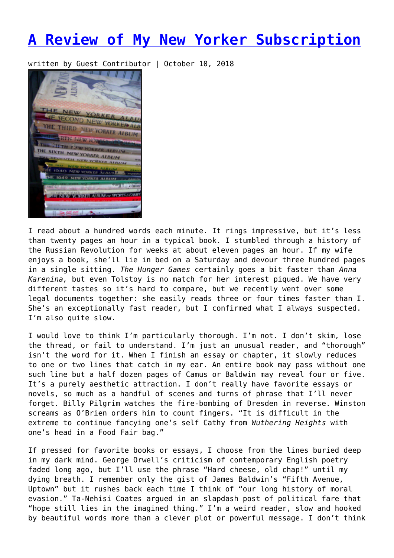## **[A Review of My New Yorker Subscription](https://entropymag.org/a-review-of-my-new-yorker-subscription/)**

written by Guest Contributor | October 10, 2018



I read about a hundred words each minute. It rings impressive, but it's less than twenty pages an hour in a typical book. I stumbled through a history of the Russian Revolution for weeks at about eleven pages an hour. If my wife enjoys a book, she'll lie in bed on a Saturday and devour three hundred pages in a single sitting. *The Hunger Games* certainly goes a bit faster than *Anna Karenina,* but even Tolstoy is no match for her interest piqued. We have very different tastes so it's hard to compare, but we recently went over some legal documents together: she easily reads three or four times faster than I. She's an exceptionally fast reader, but I confirmed what I always suspected. I'm also quite slow.

I would love to think I'm particularly thorough. I'm not. I don't skim, lose the thread, or fail to understand. I'm just an unusual reader, and "thorough" isn't the word for it. When I finish an essay or chapter, it slowly reduces to one or two lines that catch in my ear. An entire book may pass without one such line but a half dozen pages of Camus or Baldwin may reveal four or five. It's a purely aesthetic attraction. I don't really have favorite essays or novels, so much as a handful of scenes and turns of phrase that I'll never forget. Billy Pilgrim watches the fire-bombing of Dresden in reverse. Winston screams as O'Brien orders him to count fingers. "It is difficult in the extreme to continue fancying one's self Cathy from *Wuthering Heights* with one's head in a Food Fair bag."

If pressed for favorite books or essays, I choose from the lines buried deep in my dark mind. George Orwell's criticism of contemporary English poetry faded long ago, but I'll use the phrase "Hard cheese, old chap!" until my dying breath. I remember only the gist of James Baldwin's "Fifth Avenue, Uptown" but it rushes back each time I think of "our long history of moral evasion." Ta-Nehisi Coates argued in an slapdash post of political fare that "hope still lies in the imagined thing." I'm a weird reader, slow and hooked by beautiful words more than a clever plot or powerful message. I don't think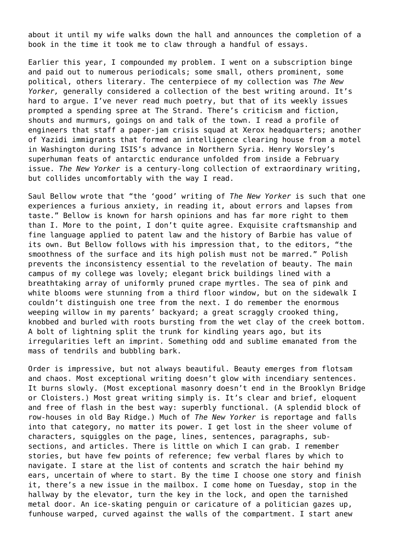about it until my wife walks down the hall and announces the completion of a book in the time it took me to claw through a handful of essays.

Earlier this year, I compounded my problem. I went on a subscription binge and paid out to numerous periodicals; some small, others prominent, some political, others literary. The centerpiece of my collection was *The New Yorker,* generally considered a collection of the best writing around. It's hard to argue. I've never read much poetry, but that of its weekly issues prompted a spending spree at The Strand. There's criticism and fiction, shouts and murmurs, goings on and talk of the town. I read a profile of engineers that staff a paper-jam crisis squad at Xerox headquarters; another of Yazidi immigrants that formed an intelligence clearing house from a motel in Washington during ISIS's advance in Northern Syria. Henry Worsley's superhuman feats of antarctic endurance unfolded from inside a February issue. *The New Yorker* is a century-long collection of extraordinary writing, but collides uncomfortably with the way I read.

Saul Bellow wrote that "the 'good' writing of *The New Yorker* is such that one experiences a furious anxiety, in reading it, about errors and lapses from taste." Bellow is known for harsh opinions and has far more right to them than I. More to the point, I don't quite agree. Exquisite craftsmanship and fine language applied to patent law and the history of Barbie has value of its own. But Bellow follows with his impression that, to the editors, "the smoothness of the surface and its high polish must not be marred." Polish prevents the inconsistency essential to the revelation of beauty. The main campus of my college was lovely; elegant brick buildings lined with a breathtaking array of uniformly pruned crape myrtles. The sea of pink and white blooms were stunning from a third floor window, but on the sidewalk I couldn't distinguish one tree from the next. I do remember the enormous weeping willow in my parents' backyard; a great scraggly crooked thing, knobbed and burled with roots bursting from the wet clay of the creek bottom. A bolt of lightning split the trunk for kindling years ago, but its irregularities left an imprint. Something odd and sublime emanated from the mass of tendrils and bubbling bark.

Order is impressive, but not always beautiful. Beauty emerges from flotsam and chaos. Most exceptional writing doesn't glow with incendiary sentences. It burns slowly. (Most exceptional masonry doesn't end in the Brooklyn Bridge or Cloisters.) Most great writing simply is. It's clear and brief, eloquent and free of flash in the best way: superbly functional. (A splendid block of row-houses in old Bay Ridge.) Much of *The New Yorker* is reportage and falls into that category, no matter its power. I get lost in the sheer volume of characters, squiggles on the page, lines, sentences, paragraphs, subsections, and articles. There is little on which I can grab. I remember stories, but have few points of reference; few verbal flares by which to navigate. I stare at the list of contents and scratch the hair behind my ears, uncertain of where to start. By the time I choose one story and finish it, there's a new issue in the mailbox. I come home on Tuesday, stop in the hallway by the elevator, turn the key in the lock, and open the tarnished metal door. An ice-skating penguin or caricature of a politician gazes up, funhouse warped, curved against the walls of the compartment. I start anew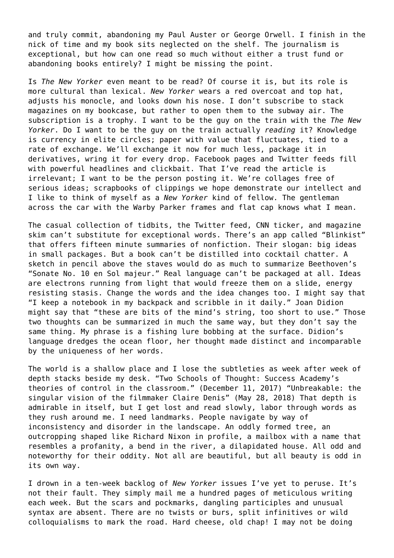and truly commit, abandoning my Paul Auster or George Orwell. I finish in the nick of time and my book sits neglected on the shelf. The journalism is exceptional, but how can one read so much without either a trust fund or abandoning books entirely? I might be missing the point.

Is *The New Yorker* even meant to be read? Of course it is, but its role is more cultural than lexical. *New Yorker* wears a red overcoat and top hat, adjusts his monocle, and looks down his nose. I don't subscribe to stack magazines on my bookcase, but rather to open them to the subway air. The subscription is a trophy. I want to be the guy on the train with the *The New Yorker*. Do I want to be the guy on the train actually *reading* it? Knowledge is currency in elite circles; paper with value that fluctuates, tied to a rate of exchange. We'll exchange it now for much less, package it in derivatives, wring it for every drop. Facebook pages and Twitter feeds fill with powerful headlines and clickbait. That I've read the article is irrelevant; I want to be the person posting it. We're collages free of serious ideas; scrapbooks of clippings we hope demonstrate our intellect and I like to think of myself as a *New Yorker* kind of fellow. The gentleman across the car with the Warby Parker frames and flat cap knows what I mean.

The casual collection of tidbits, the Twitter feed, CNN ticker, and magazine skim can't substitute for exceptional words. There's an app called "Blinkist" that offers fifteen minute summaries of nonfiction. Their slogan: big ideas in small packages. But a book can't be distilled into cocktail chatter. A sketch in pencil above the staves would do as much to summarize Beethoven's "Sonate No. 10 en Sol majeur." Real language can't be packaged at all. Ideas are electrons running from light that would freeze them on a slide, energy resisting stasis. Change the words and the idea changes too. I might say that "I keep a notebook in my backpack and scribble in it daily." Joan Didion might say that "these are bits of the mind's string, too short to use." Those two thoughts can be summarized in much the same way, but they don't say the same thing. My phrase is a fishing lure bobbing at the surface. Didion's language dredges the ocean floor, her thought made distinct and incomparable by the uniqueness of her words.

The world is a shallow place and I lose the subtleties as week after week of depth stacks beside my desk. "Two Schools of Thought: Success Academy's theories of control in the classroom." (December 11, 2017) "Unbreakable: the singular vision of the filmmaker Claire Denis" (May 28, 2018) That depth is admirable in itself, but I get lost and read slowly, labor through words as they rush around me. I need landmarks. People navigate by way of inconsistency and disorder in the landscape. An oddly formed tree, an outcropping shaped like Richard Nixon in profile, a mailbox with a name that resembles a profanity, a bend in the river, a dilapidated house. All odd and noteworthy for their oddity. Not all are beautiful, but all beauty is odd in its own way.

I drown in a ten-week backlog of *New Yorker* issues I've yet to peruse. It's not their fault. They simply mail me a hundred pages of meticulous writing each week. But the scars and pockmarks, dangling participles and unusual syntax are absent. There are no twists or burs, split infinitives or wild colloquialisms to mark the road. Hard cheese, old chap! I may not be doing